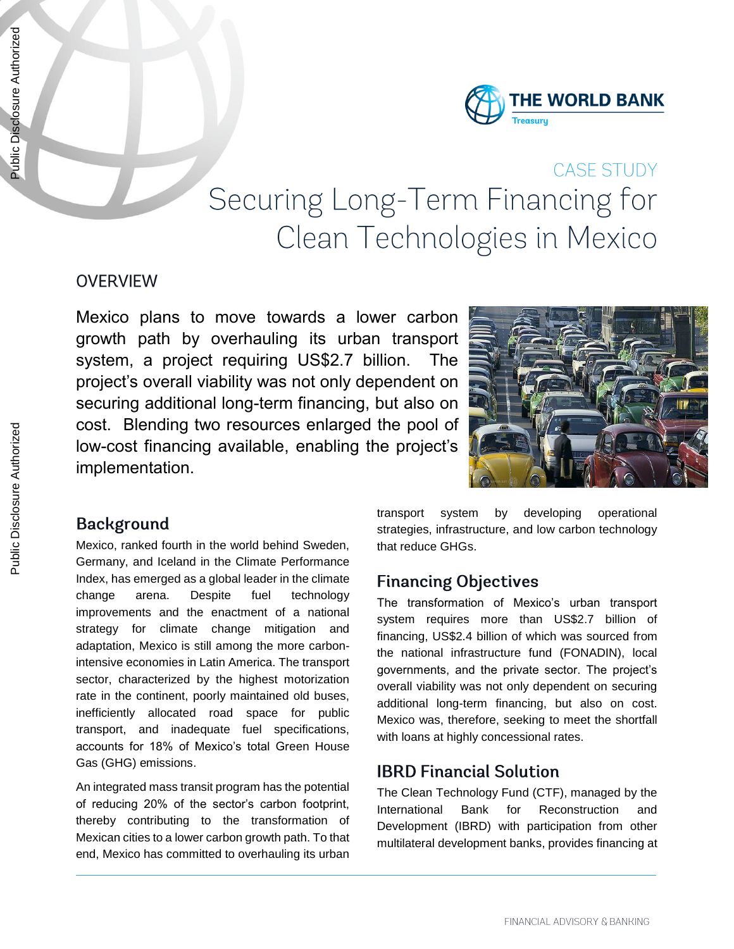

# **CASE STUDY** Securing Long-Term Financing for Clean Technologies in Mexico

# **OVERVIEW**

Mexico plans to move towards a lower carbon growth path by overhauling its urban transport system, a project requiring US\$2.7 billion. The project's overall viability was not only dependent on securing additional long-term financing, but also on cost. Blending two resources enlarged the pool of low-cost financing available, enabling the project's implementation.



# **Background**

Mexico, ranked fourth in the world behind Sweden, Germany, and Iceland in the Climate Performance Index, has emerged as a global leader in the climate change arena. Despite fuel technology improvements and the enactment of a national strategy for climate change mitigation and adaptation, Mexico is still among the more carbonintensive economies in Latin America. The transport sector, characterized by the highest motorization rate in the continent, poorly maintained old buses, inefficiently allocated road space for public transport, and inadequate fuel specifications, accounts for 18% of Mexico's total Green House Gas (GHG) emissions.

An integrated mass transit program has the potential of reducing 20% of the sector's carbon footprint, thereby contributing to the transformation of Mexican cities to a lower carbon growth path. To that end, Mexico has committed to overhauling its urban transport system by developing operational strategies, infrastructure, and low carbon technology that reduce GHGs.

# **Financing Objectives**

The transformation of Mexico's urban transport system requires more than US\$2.7 billion of financing, US\$2.4 billion of which was sourced from the national infrastructure fund (FONADIN), local governments, and the private sector. The project's overall viability was not only dependent on securing additional long-term financing, but also on cost. Mexico was, therefore, seeking to meet the shortfall with loans at highly concessional rates.

# **IBRD Financial Solution**

The Clean Technology Fund (CTF), managed by the International Bank for Reconstruction and Development (IBRD) with participation from other multilateral development banks, provides financing at